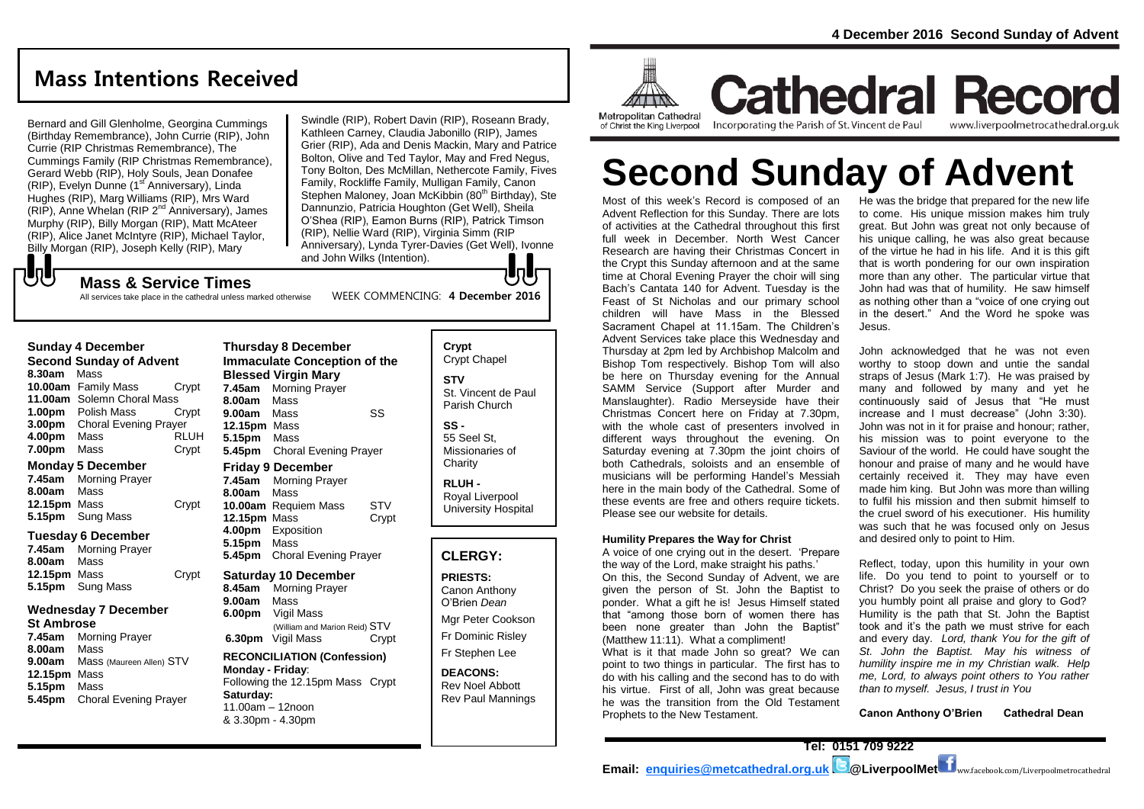# **Mass Intentions Received**

Bernard and Gill Glenholme, Georgina Cummings (Birthday Remembrance), John Currie (RIP), John Currie (RIP Christmas Remembrance), The Cummings Family (RIP Christmas Remembrance), Gerard Webb (RIP), Holy Souls, Jean Donafee (RIP), Evelyn Dunne (1<sup>st</sup> Anniversary), Linda Hughes (RIP), Marg Williams (RIP), Mrs Ward (RIP), Anne Whelan (RIP 2nd Anniversary), James Murphy (RIP), Billy Morgan (RIP), Matt McAteer (RIP), Alice Janet McIntyre (RIP), Michael Taylor, Billy Morgan (RIP), Joseph Kelly (RIP), Mary  ${\bf J}$ 

**Mass & Service Times**

All services take place in the cathedral unless marked otherwise

Swindle (RIP), Robert Davin (RIP), Roseann Brady, Kathleen Carney, Claudia Jabonillo (RIP), James Grier (RIP), Ada and Denis Mackin, Mary and Patrice Bolton, Olive and Ted Taylor, May and Fred Negus, Tony Bolton, Des McMillan, Nethercote Family, Fives Family, Rockliffe Family, Mulligan Family, Canon Stephen Maloney, Joan McKibbin (80<sup>th</sup> Birthday), Ste Dannunzio, Patricia Houghton (Get Well), Sheila O'Shea (RIP), Eamon Burns (RIP), Patrick Timson (RIP), Nellie Ward (RIP), Virginia Simm (RIP Anniversary), Lynda Tyrer-Davies (Get Well), Ivonne and John Wilks (Intention).  $\blacksquare$ 

WEEK COMMENCING: **4 December 2016**

| <b>Sunday 4 December</b>       |                              |             |
|--------------------------------|------------------------------|-------------|
| <b>Second Sunday of Advent</b> |                              |             |
| 8.30am                         | Mass                         |             |
|                                | 10.00am Family Mass          | Crypt       |
|                                | 11.00am Solemn Choral Mass   |             |
| 1.00 <sub>pm</sub>             | Polish Mass                  | Crvpt       |
| 3.00pm                         | <b>Choral Evening Prayer</b> |             |
| 4.00pm                         | Mass                         | <b>RLUH</b> |
| 7.00pm                         | Mass                         | Crypt       |

#### **Monday 5 December**

**7.45am** Morning Prayer **8.00am** Mass **12.15pm** Mass Crypt **5.15pm** Sung Mass

#### **Tuesday 6 December**

**7.45am** Morning Prayer **8.00am** Mass **12.15pm** Mass Crypt **5.15pm** Sung Mass

#### **Wednesday 7 December**

#### **St Ambrose**

**7.45am** Morning Prayer **8.00am** Mass **9.00am** Mass (Maureen Allen) STV **12.15pm** Mass **5.15pm** Mass **5.45pm** Choral Evening Prayer

**Thursday 8 December Immaculate Conception of the Blessed Virgin Mary 7.45am** Morning Prayer **8.00am** Mass **9.00am** Mass SS **12.15pm** Mass **5.15pm** Mass **5.45pm** Choral Evening Prayer **Friday 9 December 7.45am** Morning Prayer **8.00am** Mass **10.00am** Requiem Mass STV **12.15pm** Mass Crypt **4.00pm** Exposition **5.15pm** Mass **5.45pm** Choral Evening Prayer **Saturday 10 December 8.45am** Morning Prayer **9.00am** Mass **6.00pm** Vigil Mass (William and Marion Reid) STV **6.30pm** Vigil Mass Crypt **RECONCILIATION (Confession) Monday - Friday**: Following the 12.15pm Mass Crypt **Saturday:** 11.00am – 12noon

& 3.30pm - 4.30pm

**Crypt**  Crypt Chapel **STV** St. Vincent de Paul Parish Church **SS -** 55 Seel St, Missionaries of

**RLUH -** Royal Liverpool University Hospital

**Charity** 

#### **CLERGY:**

**PRIESTS:** Canon Anthony O'Brien *Dean* Mgr Peter Cookson Fr Dominic Risley

Fr Stephen Lee

**DEACONS:** Rev Noel Abbott Rev Paul Mannings



**Cathedral Record** Incorporating the Parish of St. Vincent de Paul www.liverpoolmetrocathedral.org.uk

# **Second Sunday of Advent**

Most of this week's Record is composed of an Advent Reflection for this Sunday. There are lots of activities at the Cathedral throughout this first full week in December. North West Cancer Research are having their Christmas Concert in the Crypt this Sunday afternoon and at the same time at Choral Evening Prayer the choir will sing Bach's Cantata 140 for Advent. Tuesday is the Feast of St Nicholas and our primary school children will have Mass in the Blessed Sacrament Chapel at 11.15am. The Children's Advent Services take place this Wednesday and Thursday at 2pm led by Archbishop Malcolm and Bishop Tom respectively. Bishop Tom will also be here on Thursday evening for the Annual SAMM Service (Support after Murder and Manslaughter). Radio Merseyside have their Christmas Concert here on Friday at 7.30pm, with the whole cast of presenters involved in different ways throughout the evening. On Saturday evening at 7.30pm the joint choirs of both Cathedrals, soloists and an ensemble of musicians will be performing Handel's Messiah here in the main body of the Cathedral. Some of these events are free and others require tickets. Please see our website for details.

#### **Humility Prepares the Way for Christ**

A voice of one crying out in the desert. 'Prepare the way of the Lord, make straight his paths.'

On this, the Second Sunday of Advent, we are given the person of St. John the Baptist to ponder. What a gift he is! Jesus Himself stated that "among those born of women there has been none greater than John the Baptist" (Matthew 11:11). What a compliment!

What is it that made John so great? We can point to two things in particular. The first has to do with his calling and the second has to do with his virtue. First of all, John was great because he was the transition from the Old Testament Prophets to the New Testament.

He was the bridge that prepared for the new life to come. His unique mission makes him truly great. But John was great not only because of his unique calling, he was also great because of the virtue he had in his life. And it is this gift that is worth pondering for our own inspiration more than any other. The particular virtue that John had was that of humility. He saw himself as nothing other than a "voice of one crying out in the desert." And the Word he spoke was Jesus.

John acknowledged that he was not even worthy to stoop down and untie the sandal straps of Jesus (Mark 1:7). He was praised by many and followed by many and yet he continuously said of Jesus that "He must increase and I must decrease" (John 3:30). John was not in it for praise and honour; rather, his mission was to point everyone to the Saviour of the world. He could have sought the honour and praise of many and he would have certainly received it. They may have even made him king. But John was more than willing to fulfil his mission and then submit himself to the cruel sword of his executioner. His humility was such that he was focused only on Jesus and desired only to point to Him.

Reflect, today, upon this humility in your own life. Do you tend to point to yourself or to Christ? Do you seek the praise of others or do you humbly point all praise and glory to God? Humility is the path that St. John the Baptist took and it's the path we must strive for each and every day. *Lord, thank You for the gift of St. John the Baptist. May his witness of humility inspire me in my Christian walk. Help me, Lord, to always point others to You rather than to myself. Jesus, I trust in You*

**Canon Anthony O'Brien Cathedral Dean**